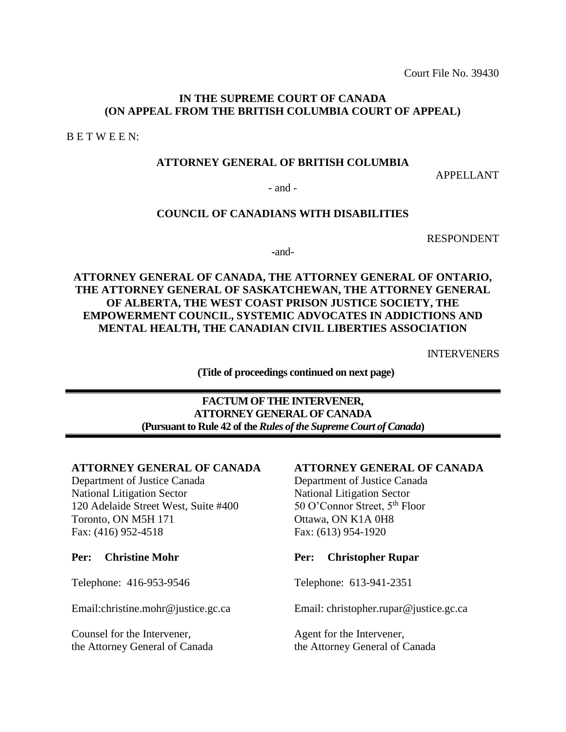Court File No. 39430

### **IN THE SUPREME COURT OF CANADA (ON APPEAL FROM THE BRITISH COLUMBIA COURT OF APPEAL)**

B E T W E E N:

## **ATTORNEY GENERAL OF BRITISH COLUMBIA**

APPELLANT

- and -

## **COUNCIL OF CANADIANS WITH DISABILITIES**

RESPONDENT

**-**and-

**ATTORNEY GENERAL OF CANADA, THE ATTORNEY GENERAL OF ONTARIO, THE ATTORNEY GENERAL OF SASKATCHEWAN, THE ATTORNEY GENERAL OF ALBERTA, THE WEST COAST PRISON JUSTICE SOCIETY, THE EMPOWERMENT COUNCIL, SYSTEMIC ADVOCATES IN ADDICTIONS AND MENTAL HEALTH, THE CANADIAN CIVIL LIBERTIES ASSOCIATION**

INTERVENERS

**(Title of proceedings continued on next page)**

## **FACTUM OF THE INTERVENER, ATTORNEY GENERAL OF CANADA (Pursuant to Rule 42 of the** *Rules of the Supreme Court of Canada***)**

### **ATTORNEY GENERAL OF CANADA**

Department of Justice Canada National Litigation Sector 120 Adelaide Street West, Suite #400 Toronto, ON M5H 171 Fax: (416) 952-4518

#### **Per: Christine Mohr**

Telephone: 416-953-9546

Email:christine.mohr@justice.gc.ca

Counsel for the Intervener, the Attorney General of Canada

#### **ATTORNEY GENERAL OF CANADA**

Department of Justice Canada National Litigation Sector 50 O'Connor Street, 5<sup>th</sup> Floor Ottawa, ON K1A 0H8 Fax: (613) 954-1920

#### **Per: Christopher Rupar**

Telephone: 613-941-2351

Email: [christopher.rupar@justice.gc.ca](mailto:christopher.rupar@justice.gc.ca)

Agent for the Intervener, the Attorney General of Canada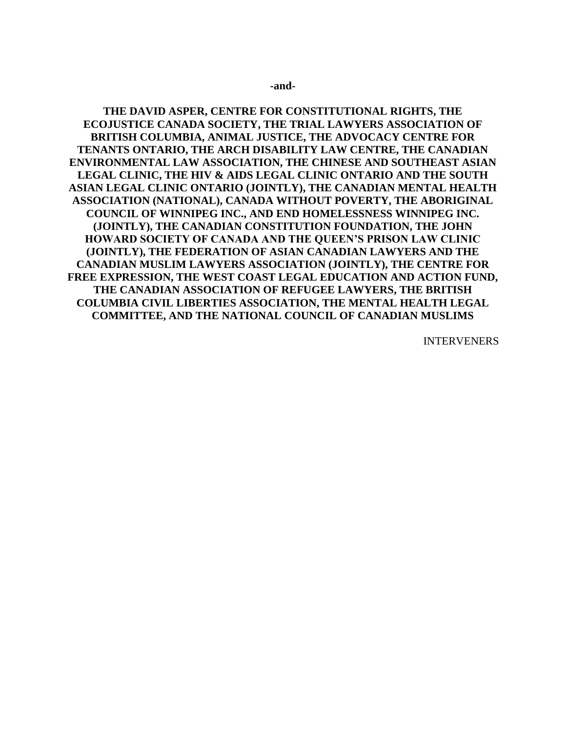#### **-and-**

**THE DAVID ASPER, CENTRE FOR CONSTITUTIONAL RIGHTS, THE ECOJUSTICE CANADA SOCIETY, THE TRIAL LAWYERS ASSOCIATION OF BRITISH COLUMBIA, ANIMAL JUSTICE, THE ADVOCACY CENTRE FOR TENANTS ONTARIO, THE ARCH DISABILITY LAW CENTRE, THE CANADIAN ENVIRONMENTAL LAW ASSOCIATION, THE CHINESE AND SOUTHEAST ASIAN LEGAL CLINIC, THE HIV & AIDS LEGAL CLINIC ONTARIO AND THE SOUTH ASIAN LEGAL CLINIC ONTARIO (JOINTLY), THE CANADIAN MENTAL HEALTH ASSOCIATION (NATIONAL), CANADA WITHOUT POVERTY, THE ABORIGINAL COUNCIL OF WINNIPEG INC., AND END HOMELESSNESS WINNIPEG INC. (JOINTLY), THE CANADIAN CONSTITUTION FOUNDATION, THE JOHN HOWARD SOCIETY OF CANADA AND THE QUEEN'S PRISON LAW CLINIC (JOINTLY), THE FEDERATION OF ASIAN CANADIAN LAWYERS AND THE CANADIAN MUSLIM LAWYERS ASSOCIATION (JOINTLY), THE CENTRE FOR FREE EXPRESSION, THE WEST COAST LEGAL EDUCATION AND ACTION FUND, THE CANADIAN ASSOCIATION OF REFUGEE LAWYERS, THE BRITISH COLUMBIA CIVIL LIBERTIES ASSOCIATION, THE MENTAL HEALTH LEGAL COMMITTEE, AND THE NATIONAL COUNCIL OF CANADIAN MUSLIMS**

INTERVENERS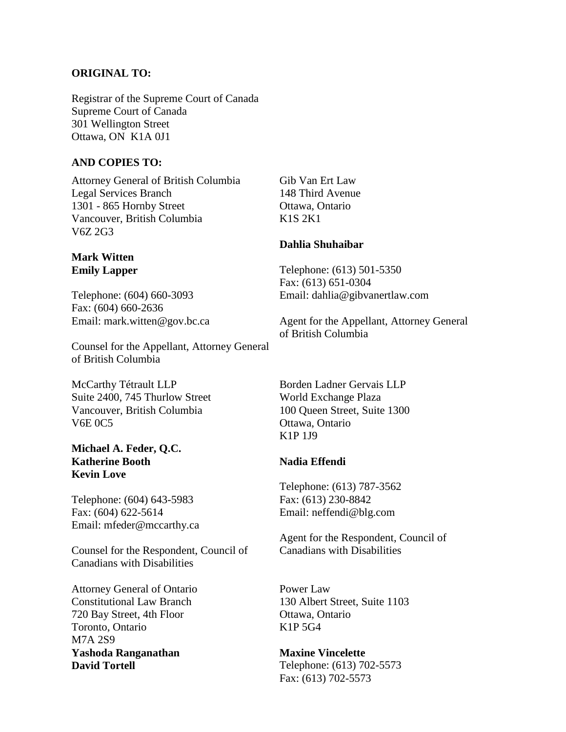#### **ORIGINAL TO:**

Registrar of the Supreme Court of Canada Supreme Court of Canada 301 Wellington Street Ottawa, ON K1A 0J1

#### **AND COPIES TO:**

Attorney General of British Columbia Legal Services Branch 1301 - 865 Hornby Street Vancouver, British Columbia V6Z 2G3

### **Mark Witten Emily Lapper**

Telephone: (604) 660-3093 Fax: (604) 660-2636 Email: mark.witten@gov.bc.ca

Counsel for the Appellant, Attorney General of British Columbia

McCarthy Tétrault LLP Suite 2400, 745 Thurlow Street Vancouver, British Columbia V6E 0C5

#### **Michael A. Feder, Q.C. Katherine Booth Kevin Love**

Telephone: (604) 643-5983 Fax: (604) 622-5614 Email: mfeder@mccarthy.ca

Counsel for the Respondent, Council of Canadians with Disabilities

Attorney General of Ontario Constitutional Law Branch 720 Bay Street, 4th Floor Toronto, Ontario M7A 2S9 **Yashoda Ranganathan David Tortell**

Gib Van Ert Law 148 Third Avenue Ottawa, Ontario K1S 2K1

#### **Dahlia Shuhaibar**

Telephone: (613) 501-5350 Fax: (613) 651-0304 Email: dahlia@gibvanertlaw.com

Agent for the Appellant, Attorney General of British Columbia

Borden Ladner Gervais LLP World Exchange Plaza 100 Queen Street, Suite 1300 Ottawa, Ontario K1P 1J9

#### **Nadia Effendi**

Telephone: (613) 787-3562 Fax: (613) 230-8842 Email: [neffendi@blg.com](mailto:neffendi@blg.com)

Agent for the Respondent, Council of Canadians with Disabilities

Power Law 130 Albert Street, Suite 1103 Ottawa, Ontario K1P 5G4

**Maxine Vincelette** Telephone: (613) 702-5573 Fax: (613) 702-5573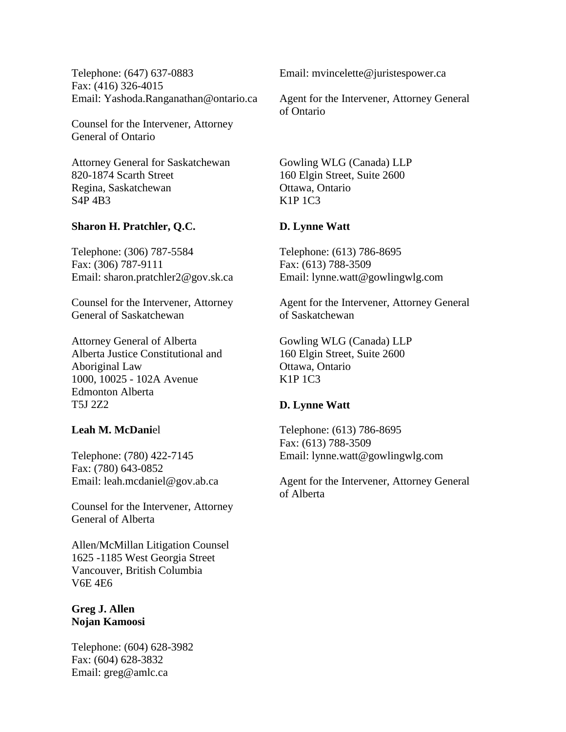Telephone: (647) 637-0883 Fax: (416) 326-4015 Email: [Yashoda.Ranganathan@ontario.ca](mailto:Yashoda.Ranganathan@ontario.ca)

Counsel for the Intervener, Attorney General of Ontario

Attorney General for Saskatchewan 820-1874 Scarth Street Regina, Saskatchewan S4P 4B3

## **Sharon H. Pratchler, Q.C.**

Telephone: (306) 787-5584 Fax: (306) 787-9111 Email: sharon.pratchler2@gov.sk.ca

Counsel for the Intervener, Attorney General of Saskatchewan

Attorney General of Alberta Alberta Justice Constitutional and Aboriginal Law 1000, 10025 - 102A Avenue Edmonton Alberta T5J 2Z2

## **Leah M. McDani**el

Telephone: (780) 422-7145 Fax: (780) 643-0852 Email: [leah.mcdaniel@gov.ab.ca](mailto:leah.mcdaniel@gov.ab.ca)

Counsel for the Intervener, Attorney General of Alberta

Allen/McMillan Litigation Counsel 1625 -1185 West Georgia Street Vancouver, British Columbia V6E 4E6

## **Greg J. Allen Nojan Kamoosi**

Telephone: (604) 628-3982 Fax: (604) 628-3832 Email: [greg@amlc.ca](mailto:greg@amlc.ca)

Email: [mvincelette@juristespower.ca](mailto:mvincelette@juristespower.ca)

Agent for the Intervener, Attorney General of Ontario

Gowling WLG (Canada) LLP 160 Elgin Street, Suite 2600 Ottawa, Ontario K1P 1C3

## **D. Lynne Watt**

Telephone: (613) 786-8695 Fax: (613) 788-3509 Email: lynne.watt@gowlingwlg.com

Agent for the Intervener, Attorney General of Saskatchewan

Gowling WLG (Canada) LLP 160 Elgin Street, Suite 2600 Ottawa, Ontario K1P 1C3

## **D. Lynne Watt**

Telephone: (613) 786-8695 Fax: (613) 788-3509 Email: lynne.watt@gowlingwlg.com

Agent for the Intervener, Attorney General of Alberta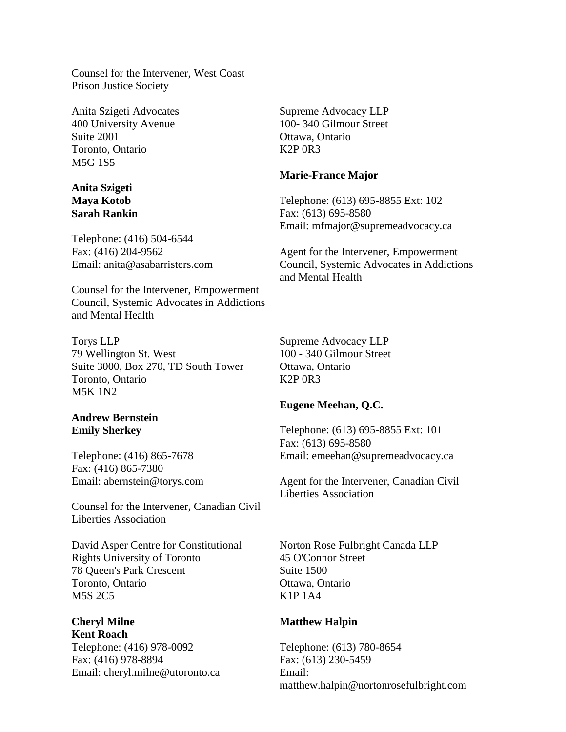Counsel for the Intervener, West Coast Prison Justice Society

Anita Szigeti Advocates 400 University Avenue Suite 2001 Toronto, Ontario M5G 1S5

### **Anita Szigeti Maya Kotob Sarah Rankin**

Telephone: (416) 504-6544 Fax: (416) 204-9562 Email: [anita@asabarristers.com](mailto:anita@asabarristers.com)

Counsel for the Intervener, Empowerment Council, Systemic Advocates in Addictions and Mental Health

Torys LLP 79 Wellington St. West Suite 3000, Box 270, TD South Tower Toronto, Ontario M5K 1N2

### **Andrew Bernstein Emily Sherkey**

Telephone: (416) 865-7678 Fax: (416) 865-7380 Email: abernstein@torys.com

Counsel for the Intervener, Canadian Civil Liberties Association

David Asper Centre for Constitutional Rights University of Toronto 78 Queen's Park Crescent Toronto, Ontario M5S 2C5

### **Cheryl Milne Kent Roach**

Telephone: (416) 978-0092 Fax: (416) 978-8894 Email: [cheryl.milne@utoronto.ca](mailto:cheryl.milne@utoronto.ca) Supreme Advocacy LLP 100- 340 Gilmour Street Ottawa, Ontario K2P 0R3

### **Marie-France Major**

Telephone: (613) 695-8855 Ext: 102 Fax: (613) 695-8580 Email: mfmajor@supremeadvocacy.ca

Agent for the Intervener, Empowerment Council, Systemic Advocates in Addictions and Mental Health

Supreme Advocacy LLP 100 - 340 Gilmour Street Ottawa, Ontario K2P 0R3

## **Eugene Meehan, Q.C.**

Telephone: (613) 695-8855 Ext: 101 Fax: (613) 695-8580 Email: emeehan@supremeadvocacy.ca

Agent for the Intervener, Canadian Civil Liberties Association

Norton Rose Fulbright Canada LLP 45 O'Connor Street Suite 1500 Ottawa, Ontario K1P 1A4

## **Matthew Halpin**

Telephone: (613) 780-8654 Fax: (613) 230-5459 Email: [matthew.halpin@nortonrosefulbright.com](mailto:matthew.halpin@nortonrosefulbright.com)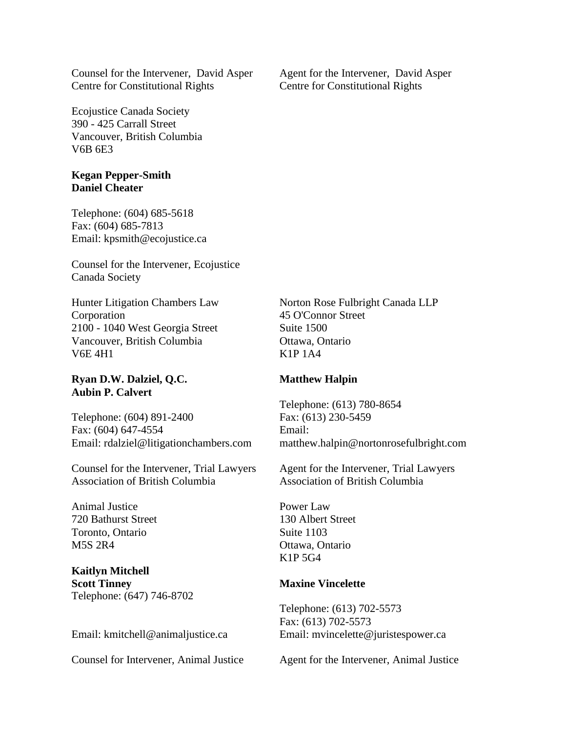Counsel for the Intervener, David Asper Centre for Constitutional Rights

Ecojustice Canada Society 390 - 425 Carrall Street Vancouver, British Columbia V6B 6E3

#### **Kegan Pepper-Smith Daniel Cheater**

Telephone: (604) 685-5618 Fax: (604) 685-7813 Email: [kpsmith@ecojustice.ca](mailto:kpsmith@ecojustice.ca)

Counsel for the Intervener, Ecojustice Canada Society

Hunter Litigation Chambers Law Corporation 2100 - 1040 West Georgia Street Vancouver, British Columbia V6E 4H1

#### **Ryan D.W. Dalziel, Q.C. Aubin P. Calvert**

Telephone: (604) 891-2400 Fax: (604) 647-4554 Email: [rdalziel@litigationchambers.com](mailto:rdalziel@litigationchambers.com)

Counsel for the Intervener, Trial Lawyers Association of British Columbia

Animal Justice 720 Bathurst Street Toronto, Ontario M5S 2R4

**Kaitlyn Mitchell Scott Tinney** Telephone: (647) 746-8702

Email: [kmitchell@animaljustice.ca](mailto:kmitchell@animaljustice.ca)

Counsel for Intervener, Animal Justice

Agent for the Intervener, David Asper Centre for Constitutional Rights

Norton Rose Fulbright Canada LLP 45 O'Connor Street Suite 1500 Ottawa, Ontario K1P 1A4

#### **Matthew Halpin**

Telephone: (613) 780-8654 Fax: (613) 230-5459 Email: [matthew.halpin@nortonrosefulbright.com](mailto:matthew.halpin@nortonrosefulbright.com)

Agent for the Intervener, Trial Lawyers Association of British Columbia

Power Law 130 Albert Street Suite 1103 Ottawa, Ontario K1P 5G4

#### **Maxine Vincelette**

Telephone: (613) 702-5573 Fax: (613) 702-5573 Email: [mvincelette@juristespower.ca](mailto:mvincelette@juristespower.ca)

Agent for the Intervener, Animal Justice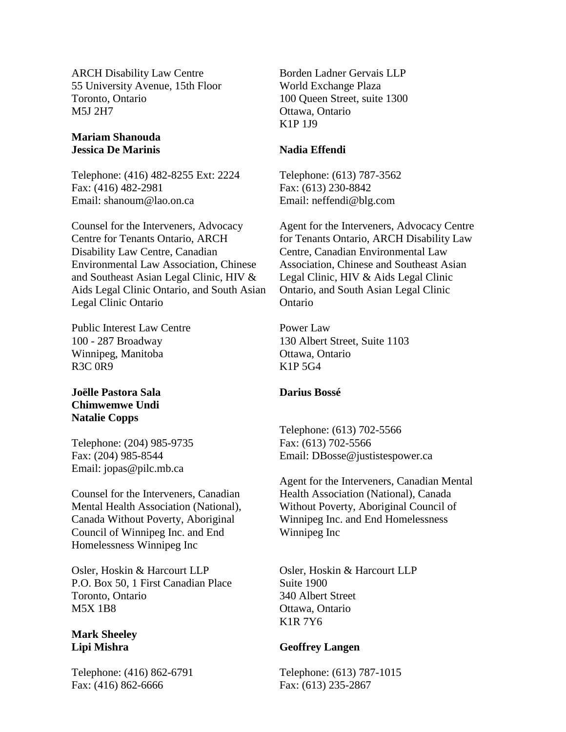ARCH Disability Law Centre 55 University Avenue, 15th Floor Toronto, Ontario M5J 2H7

### **Mariam Shanouda Jessica De Marinis**

Telephone: (416) 482-8255 Ext: 2224 Fax: (416) 482-2981 Email: shanoum@lao.on.ca

Counsel for the Interveners, Advocacy Centre for Tenants Ontario, ARCH Disability Law Centre, Canadian Environmental Law Association, Chinese and Southeast Asian Legal Clinic, HIV & Aids Legal Clinic Ontario, and South Asian Legal Clinic Ontario

Public Interest Law Centre 100 - 287 Broadway Winnipeg, Manitoba R3C 0R9

## **Joëlle Pastora Sala Chimwemwe Undi Natalie Copps**

Telephone: (204) 985-9735 Fax: (204) 985-8544 Email: [jopas@pilc.mb.ca](mailto:jopas@pilc.mb.ca)

Counsel for the Interveners, Canadian Mental Health Association (National), Canada Without Poverty, Aboriginal Council of Winnipeg Inc. and End Homelessness Winnipeg Inc

Osler, Hoskin & Harcourt LLP P.O. Box 50, 1 First Canadian Place Toronto, Ontario M5X 1B8

## **Mark Sheeley Lipi Mishra**

Telephone: (416) 862-6791 Fax: (416) 862-6666

Borden Ladner Gervais LLP World Exchange Plaza 100 Queen Street, suite 1300 Ottawa, Ontario K1P 1J9

## **Nadia Effendi**

Telephone: (613) 787-3562 Fax: (613) 230-8842 Email: neffendi@blg.com

Agent for the Interveners, Advocacy Centre for Tenants Ontario, ARCH Disability Law Centre, Canadian Environmental Law Association, Chinese and Southeast Asian Legal Clinic, HIV & Aids Legal Clinic Ontario, and South Asian Legal Clinic Ontario

Power Law 130 Albert Street, Suite 1103 Ottawa, Ontario K1P 5G4

## **Darius Bossé**

Telephone: (613) 702-5566 Fax: (613) 702-5566 Email: DBosse@justistespower.ca

Agent for the Interveners, Canadian Mental Health Association (National), Canada Without Poverty, Aboriginal Council of Winnipeg Inc. and End Homelessness Winnipeg Inc

Osler, Hoskin & Harcourt LLP Suite 1900 340 Albert Street Ottawa, Ontario K1R 7Y6

## **Geoffrey Langen**

Telephone: (613) 787-1015 Fax: (613) 235-2867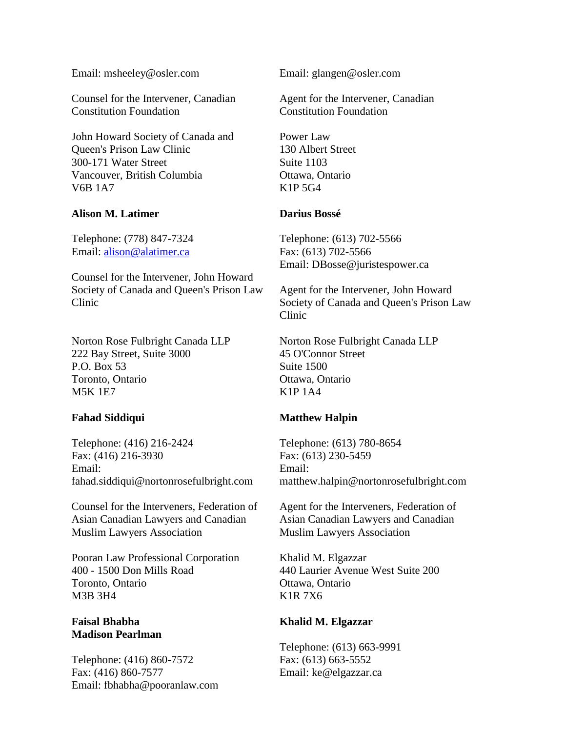Email: [msheeley@osler.com](mailto:msheeley@osler.com)

Counsel for the Intervener, Canadian Constitution Foundation

John Howard Society of Canada and Queen's Prison Law Clinic 300-171 Water Street Vancouver, British Columbia V6B 1A7

#### **Alison M. Latimer**

Telephone: (778) 847-7324 Email: [alison@alatimer.ca](mailto:alison@alatimer.ca)

Counsel for the Intervener, John Howard Society of Canada and Queen's Prison Law Clinic

Norton Rose Fulbright Canada LLP 222 Bay Street, Suite 3000 P.O. Box 53 Toronto, Ontario M5K 1E7

## **Fahad Siddiqui**

Telephone: (416) 216-2424 Fax: (416) 216-3930 Email: fahad.siddiqui@nortonrosefulbright.com

Counsel for the Interveners, Federation of Asian Canadian Lawyers and Canadian Muslim Lawyers Association

Pooran Law Professional Corporation 400 - 1500 Don Mills Road Toronto, Ontario M3B 3H4

## **Faisal Bhabha Madison Pearlman**

Telephone: (416) 860-7572 Fax: (416) 860-7577 Email: [fbhabha@pooranlaw.com](mailto:fbhabha@pooranlaw.com) Email: glangen@osler.com

Agent for the Intervener, Canadian Constitution Foundation

Power Law 130 Albert Street Suite 1103 Ottawa, Ontario K1P 5G4

### **Darius Bossé**

Telephone: (613) 702-5566 Fax: (613) 702-5566 Email: [DBosse@juristespower.ca](mailto:DBosse@juristespower.ca)

Agent for the Intervener, John Howard Society of Canada and Queen's Prison Law Clinic

Norton Rose Fulbright Canada LLP 45 O'Connor Street Suite 1500 Ottawa, Ontario K1P 1A4

## **Matthew Halpin**

Telephone: (613) 780-8654 Fax: (613) 230-5459 Email: [matthew.halpin@nortonrosefulbright.com](mailto:matthew.halpin@nortonrosefulbright.com)

Agent for the Interveners, Federation of Asian Canadian Lawyers and Canadian Muslim Lawyers Association

Khalid M. Elgazzar 440 Laurier Avenue West Suite 200 Ottawa, Ontario K1R 7X6

## **Khalid M. Elgazzar**

Telephone: (613) 663-9991 Fax: (613) 663-5552 Email: ke@elgazzar.ca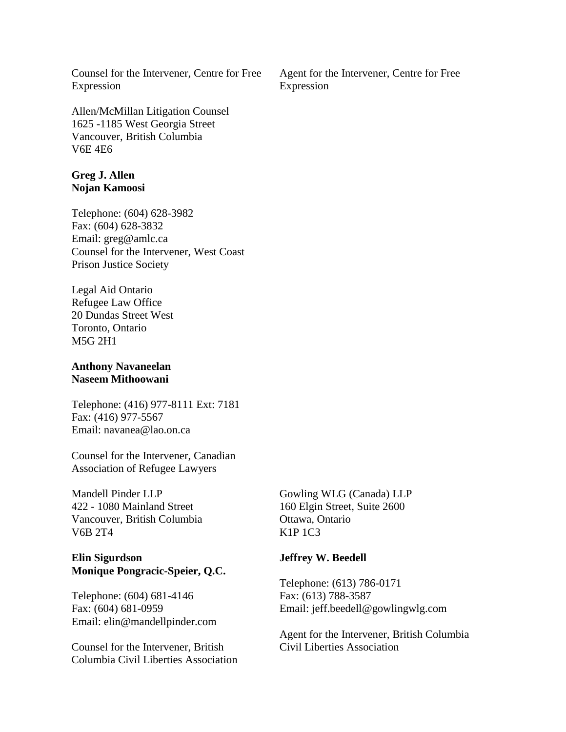Counsel for the Intervener, Centre for Free Expression

Allen/McMillan Litigation Counsel 1625 -1185 West Georgia Street Vancouver, British Columbia V6E 4E6

#### **Greg J. Allen Nojan Kamoosi**

Telephone: (604) 628-3982 Fax: (604) 628-3832 Email: greg@amlc.ca Counsel for the Intervener, West Coast Prison Justice Society

Legal Aid Ontario Refugee Law Office 20 Dundas Street West Toronto, Ontario M5G 2H1

### **Anthony Navaneelan Naseem Mithoowani**

Telephone: (416) 977-8111 Ext: 7181 Fax: (416) 977-5567 Email: navanea@lao.on.ca

Counsel for the Intervener, Canadian Association of Refugee Lawyers

Mandell Pinder LLP 422 - 1080 Mainland Street Vancouver, British Columbia V6B 2T4

## **Elin Sigurdson Monique Pongracic-Speier, Q.C.**

Telephone: (604) 681-4146 Fax: (604) 681-0959 Email: [elin@mandellpinder.com](mailto:elin@mandellpinder.com)

Counsel for the Intervener, British Columbia Civil Liberties Association Gowling WLG (Canada) LLP 160 Elgin Street, Suite 2600 Ottawa, Ontario K1P 1C3

## **Jeffrey W. Beedell**

Telephone: (613) 786-0171 Fax: (613) 788-3587 Email: jeff.beedell@gowlingwlg.com

Agent for the Intervener, British Columbia Civil Liberties Association

Agent for the Intervener, Centre for Free Expression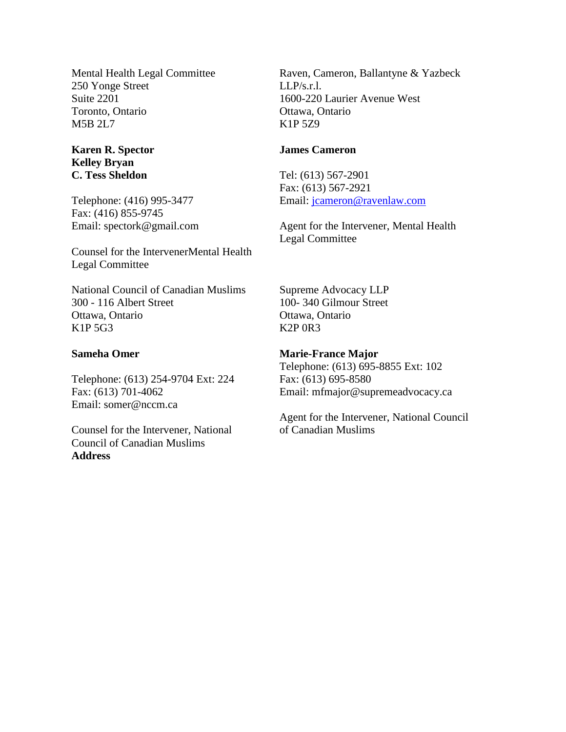Mental Health Legal Committee 250 Yonge Street Suite 2201 Toronto, Ontario M5B 2L7

## **Karen R. Spector Kelley Bryan C. Tess Sheldon**

Telephone: (416) 995-3477 Fax: (416) 855-9745 Email: spectork@gmail.com

Counsel for the IntervenerMental Health Legal Committee

National Council of Canadian Muslims 300 - 116 Albert Street Ottawa, Ontario K1P 5G3

#### **Sameha Omer**

Telephone: (613) 254-9704 Ext: 224 Fax: (613) 701-4062 Email: somer@nccm.ca

Counsel for the Intervener, National Council of Canadian Muslims **Address**

Raven, Cameron, Ballantyne & Yazbeck  $LI.P/s.r.l.$ 1600-220 Laurier Avenue West Ottawa, Ontario K1P 5Z9

#### **James Cameron**

Tel: (613) 567-2901 Fax: (613) 567-2921 Email: [jcameron@ravenlaw.com](mailto:jcameron@ravenlaw.com)

Agent for the Intervener, Mental Health Legal Committee

Supreme Advocacy LLP 100- 340 Gilmour Street Ottawa, Ontario K2P 0R3

#### **Marie-France Major**

Telephone: (613) 695-8855 Ext: 102 Fax: (613) 695-8580 Email: [mfmajor@supremeadvocacy.ca](mailto:mfmajor@supremeadvocacy.ca)

Agent for the Intervener, National Council of Canadian Muslims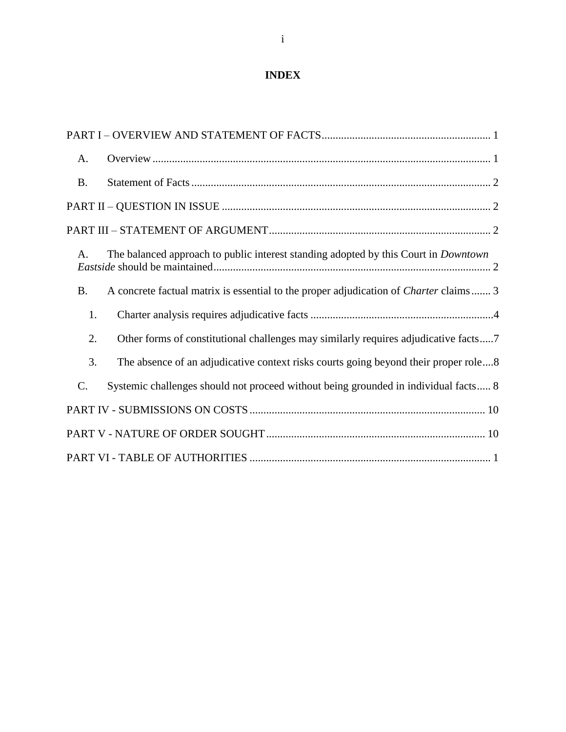# **INDEX**

| A.        |                                                                                              |
|-----------|----------------------------------------------------------------------------------------------|
| <b>B.</b> |                                                                                              |
|           |                                                                                              |
|           |                                                                                              |
| A.        | The balanced approach to public interest standing adopted by this Court in <i>Downtown</i>   |
| <b>B.</b> | A concrete factual matrix is essential to the proper adjudication of <i>Charter</i> claims 3 |
| 1.        |                                                                                              |
| 2.        | Other forms of constitutional challenges may similarly requires adjudicative facts7          |
| 3.        | The absence of an adjudicative context risks courts going beyond their proper role8          |
| C.        | Systemic challenges should not proceed without being grounded in individual facts 8          |
|           |                                                                                              |
|           |                                                                                              |
|           |                                                                                              |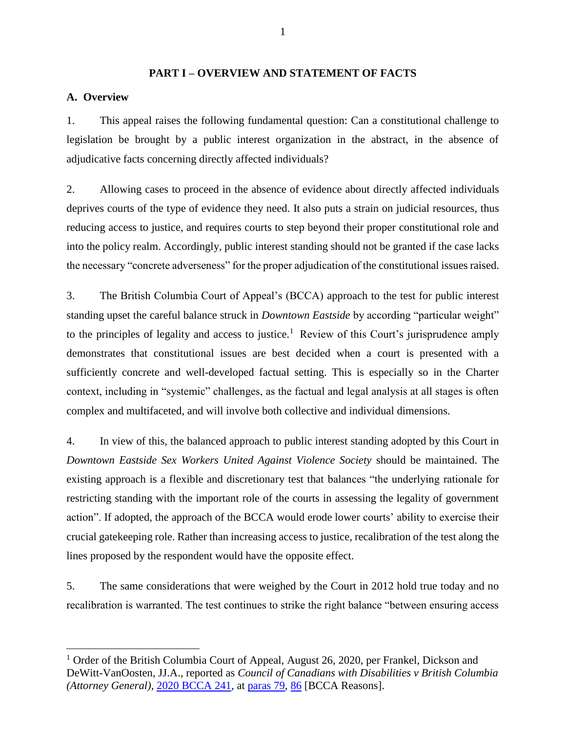#### **PART I – OVERVIEW AND STATEMENT OF FACTS**

## <span id="page-11-1"></span><span id="page-11-0"></span>**A. Overview**

 $\overline{a}$ 

1. This appeal raises the following fundamental question: Can a constitutional challenge to legislation be brought by a public interest organization in the abstract, in the absence of adjudicative facts concerning directly affected individuals?

2. Allowing cases to proceed in the absence of evidence about directly affected individuals deprives courts of the type of evidence they need. It also puts a strain on judicial resources, thus reducing access to justice, and requires courts to step beyond their proper constitutional role and into the policy realm. Accordingly, public interest standing should not be granted if the case lacks the necessary "concrete adverseness" for the proper adjudication of the constitutional issues raised.

3. The British Columbia Court of Appeal's (BCCA) approach to the test for public interest standing upset the careful balance struck in *Downtown Eastside* by according "particular weight" to the principles of legality and access to justice.<sup>1</sup> Review of this Court's jurisprudence amply demonstrates that constitutional issues are best decided when a court is presented with a sufficiently concrete and well-developed factual setting. This is especially so in the Charter context, including in "systemic" challenges, as the factual and legal analysis at all stages is often complex and multifaceted, and will involve both collective and individual dimensions.

4. In view of this, the balanced approach to public interest standing adopted by this Court in *Downtown Eastside Sex Workers United Against Violence Society* should be maintained. The existing approach is a flexible and discretionary test that balances "the underlying rationale for restricting standing with the important role of the courts in assessing the legality of government action". If adopted, the approach of the BCCA would erode lower courts' ability to exercise their crucial gatekeeping role. Rather than increasing access to justice, recalibration of the test along the lines proposed by the respondent would have the opposite effect.

5. The same considerations that were weighed by the Court in 2012 hold true today and no recalibration is warranted. The test continues to strike the right balance "between ensuring access

<sup>&</sup>lt;sup>1</sup> Order of the British Columbia Court of Appeal, August 26, 2020, per Frankel, Dickson and DeWitt-VanOosten, JJ.A., reported as *Council of Canadians with Disabilities v British Columbia (Attorney General),* [2020 BCCA 241,](https://canlii.ca/t/j9c0x) at [paras 79,](https://canlii.ca/t/j9c0x#par79) [86](https://canlii.ca/t/j9c0x#par86) [BCCA Reasons].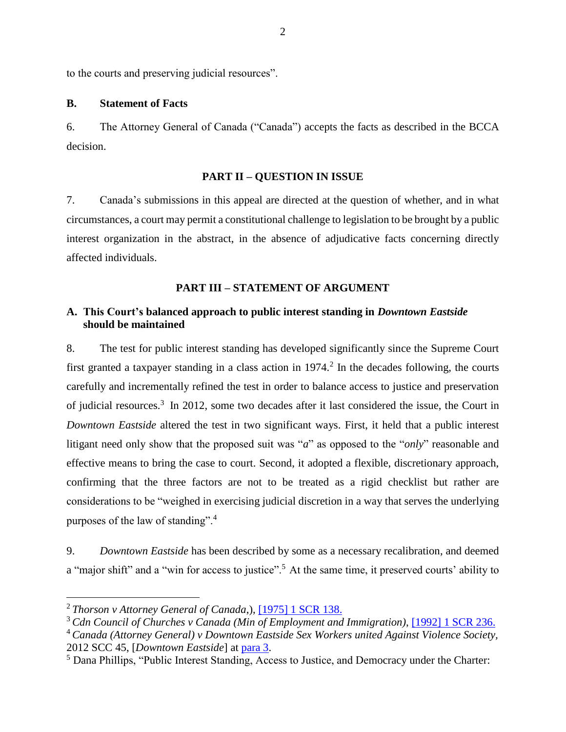to the courts and preserving judicial resources".

#### <span id="page-12-0"></span>**B. Statement of Facts**

6. The Attorney General of Canada ("Canada") accepts the facts as described in the BCCA decision.

### **PART II – QUESTION IN ISSUE**

<span id="page-12-1"></span>7. Canada's submissions in this appeal are directed at the question of whether, and in what circumstances, a court may permit a constitutional challenge to legislation to be brought by a public interest organization in the abstract, in the absence of adjudicative facts concerning directly affected individuals.

### **PART III – STATEMENT OF ARGUMENT**

## <span id="page-12-3"></span><span id="page-12-2"></span>**A. This Court's balanced approach to public interest standing in** *Downtown Eastside* **should be maintained**

8. The test for public interest standing has developed significantly since the Supreme Court first granted a taxpayer standing in a class action in  $1974<sup>2</sup>$ . In the decades following, the courts carefully and incrementally refined the test in order to balance access to justice and preservation of judicial resources. 3 In 2012, some two decades after it last considered the issue, the Court in *Downtown Eastside* altered the test in two significant ways. First, it held that a public interest litigant need only show that the proposed suit was "*a*" as opposed to the "*only*" reasonable and effective means to bring the case to court. Second, it adopted a flexible, discretionary approach, confirming that the three factors are not to be treated as a rigid checklist but rather are considerations to be "weighed in exercising judicial discretion in a way that serves the underlying purposes of the law of standing".<sup>4</sup>

9. *Downtown Eastside* has been described by some as a necessary recalibration, and deemed a "major shift" and a "win for access to justice".<sup>5</sup> At the same time, it preserved courts' ability to

<sup>2</sup> *Thorson v Attorney General of Canada*,), [\[1975\] 1 SCR 138.](https://canlii.ca/t/1twxf)

<sup>3</sup> *Cdn Council of Churches v Canada (Min of Employment and Immigration)*, [\[1992\] 1 SCR 236.](https://canlii.ca/t/1fsg5)

<sup>4</sup> *Canada (Attorney General) v Downtown Eastside Sex Workers united Against Violence Society,*  2012 SCC 45, [*Downtown Eastside*] at [para 3.](https://canlii.ca/t/fss7s#par3)

<sup>5</sup> Dana Phillips, "Public Interest Standing, Access to Justice, and Democracy under the Charter: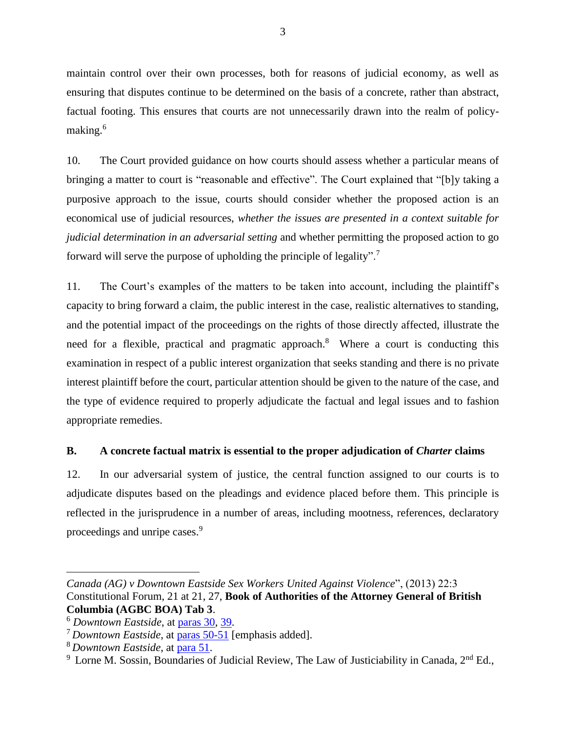maintain control over their own processes, both for reasons of judicial economy, as well as ensuring that disputes continue to be determined on the basis of a concrete, rather than abstract, factual footing. This ensures that courts are not unnecessarily drawn into the realm of policymaking.<sup>6</sup>

10. The Court provided guidance on how courts should assess whether a particular means of bringing a matter to court is "reasonable and effective". The Court explained that "[b]y taking a purposive approach to the issue, courts should consider whether the proposed action is an economical use of judicial resources, *whether the issues are presented in a context suitable for judicial determination in an adversarial setting* and whether permitting the proposed action to go forward will serve the purpose of upholding the principle of legality".<sup>7</sup>

11. The Court's examples of the matters to be taken into account, including the plaintiff's capacity to bring forward a claim, the public interest in the case, realistic alternatives to standing, and the potential impact of the proceedings on the rights of those directly affected, illustrate the need for a flexible, practical and pragmatic approach.<sup>8</sup> Where a court is conducting this examination in respect of a public interest organization that seeks standing and there is no private interest plaintiff before the court, particular attention should be given to the nature of the case, and the type of evidence required to properly adjudicate the factual and legal issues and to fashion appropriate remedies.

## <span id="page-13-0"></span>**B. A concrete factual matrix is essential to the proper adjudication of** *Charter* **claims**

12. In our adversarial system of justice, the central function assigned to our courts is to adjudicate disputes based on the pleadings and evidence placed before them. This principle is reflected in the jurisprudence in a number of areas, including mootness, references, declaratory proceedings and unripe cases.<sup>9</sup>

*Canada (AG) v Downtown Eastside Sex Workers United Against Violence*", (2013) 22:3 Constitutional Forum, 21 at 21, 27, **Book of Authorities of the Attorney General of British Columbia (AGBC BOA) Tab 3**.

<sup>6</sup> *Downtown Eastside*, at [paras 30,](https://canlii.ca/t/fss7s#par30) [39.](https://canlii.ca/t/fss7s#par39)

<sup>7</sup> *Downtown Eastside*, at [paras 50-51](https://canlii.ca/t/fss7s#par50) [emphasis added].

<sup>8</sup> *Downtown Eastside*, at [para 51.](https://canlii.ca/t/fss7s#par50)

 $9$  Lorne M. Sossin, Boundaries of Judicial Review, The Law of Justiciability in Canada,  $2<sup>nd</sup>$  Ed.,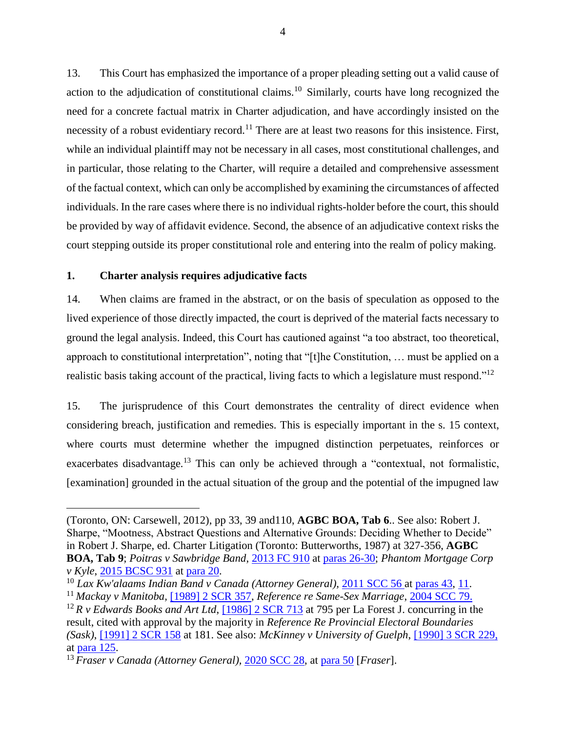13. This Court has emphasized the importance of a proper pleading setting out a valid cause of action to the adjudication of constitutional claims.<sup>10</sup> Similarly, courts have long recognized the need for a concrete factual matrix in Charter adjudication, and have accordingly insisted on the necessity of a robust evidentiary record.<sup>11</sup> There are at least two reasons for this insistence. First, while an individual plaintiff may not be necessary in all cases, most constitutional challenges, and in particular, those relating to the Charter, will require a detailed and comprehensive assessment of the factual context, which can only be accomplished by examining the circumstances of affected individuals. In the rare cases where there is no individual rights-holder before the court, this should be provided by way of affidavit evidence. Second, the absence of an adjudicative context risks the court stepping outside its proper constitutional role and entering into the realm of policy making.

### <span id="page-14-0"></span>**1. Charter analysis requires adjudicative facts**

 $\overline{a}$ 

14. When claims are framed in the abstract, or on the basis of speculation as opposed to the lived experience of those directly impacted, the court is deprived of the material facts necessary to ground the legal analysis. Indeed, this Court has cautioned against "a too abstract, too theoretical, approach to constitutional interpretation", noting that "[t]he Constitution, … must be applied on a realistic basis taking account of the practical, living facts to which a legislature must respond."<sup>12</sup>

15. The jurisprudence of this Court demonstrates the centrality of direct evidence when considering breach, justification and remedies. This is especially important in the s. 15 context, where courts must determine whether the impugned distinction perpetuates, reinforces or exacerbates disadvantage*.* <sup>13</sup> This can only be achieved through a "contextual, not formalistic, [examination] grounded in the actual situation of the group and the potential of the impugned law

<sup>(</sup>Toronto, ON: Carsewell, 2012), pp 33, 39 and110, **AGBC BOA, Tab 6**.. See also: Robert J. Sharpe, "Mootness, Abstract Questions and Alternative Grounds: Deciding Whether to Decide" in Robert J. Sharpe, ed. Charter Litigation (Toronto: Butterworths, 1987) at 327-356, **AGBC BOA, Tab 9**; *Poitras v Sawbridge Band*, [2013 FC 910](https://canlii.ca/t/g1q2c) at [paras 26-30;](https://canlii.ca/t/g1q2c#par26) *Phantom Mortgage Corp v Kyle*, [2015 BCSC 931](https://canlii.ca/t/gjc0w) at [para 20.](https://canlii.ca/t/gjc0w#par20)

<sup>10</sup> *Lax Kw'alaams Indian Band v Canada (Attorney General),* [2011 SCC 56](https://canlii.ca/t/fnr69) at [paras 43,](https://canlii.ca/t/fnr69#par43) [11.](https://canlii.ca/t/fnr69#par11)

<sup>11</sup> *Mackay v Manitoba,* [\[1989\] 2 SCR 357,](https://canlii.ca/t/1ft3c) *Reference re Same-Sex Marriage*, [2004 SCC 79.](https://canlii.ca/t/1jdhv)

<sup>&</sup>lt;sup>12</sup> *R v Edwards Books and Art Ltd*, [\[1986\] 2 SCR 713](https://canlii.ca/t/1ftpt) at 795 per La Forest J. concurring in the result, cited with approval by the majority in *Reference Re Provincial Electoral Boundaries (Sask)*, [\[1991\] 2 SCR 158](https://canlii.ca/t/1fsll) at 181. See also: *McKinney v University of Guelph*, [\[1990\] 3 SCR 229,](https://canlii.ca/t/1fsqk) at [para 125.](https://canlii.ca/t/1fsqk#par125)

<sup>13</sup> *Fraser v Canada (Attorney General),* [2020 SCC 28,](https://canlii.ca/t/jb370) at [para 50](https://canlii.ca/t/jb370#par50) [*Fraser*].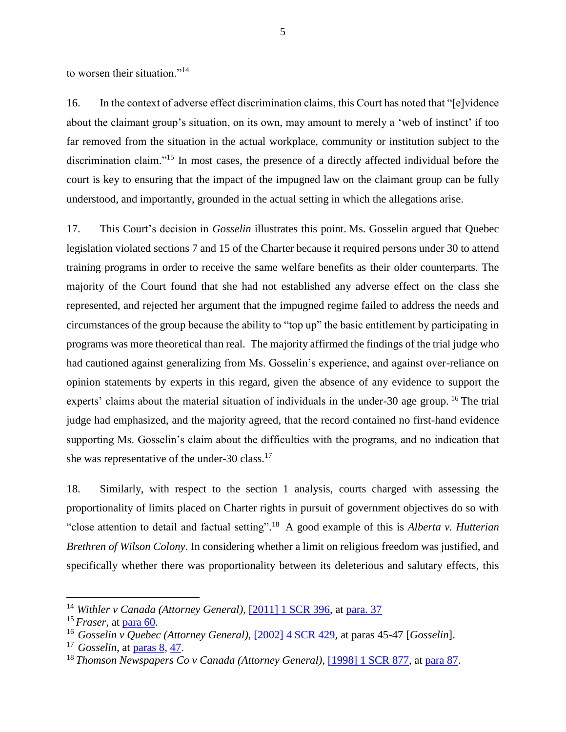to worsen their situation."<sup>14</sup>

16. In the context of adverse effect discrimination claims, this Court has noted that "[e]vidence about the claimant group's situation, on its own, may amount to merely a 'web of instinct' if too far removed from the situation in the actual workplace, community or institution subject to the discrimination claim."<sup>15</sup> In most cases, the presence of a directly affected individual before the court is key to ensuring that the impact of the impugned law on the claimant group can be fully understood, and importantly, grounded in the actual setting in which the allegations arise.

17. This Court's decision in *Gosselin* illustrates this point. Ms. Gosselin argued that Quebec legislation violated sections 7 and 15 of the Charter because it required persons under 30 to attend training programs in order to receive the same welfare benefits as their older counterparts. The majority of the Court found that she had not established any adverse effect on the class she represented, and rejected her argument that the impugned regime failed to address the needs and circumstances of the group because the ability to "top up" the basic entitlement by participating in programs was more theoretical than real. The majority affirmed the findings of the trial judge who had cautioned against generalizing from Ms. Gosselin's experience, and against over-reliance on opinion statements by experts in this regard, given the absence of any evidence to support the experts' claims about the material situation of individuals in the under-30 age group. <sup>16</sup> The trial judge had emphasized, and the majority agreed, that the record contained no first-hand evidence supporting Ms. Gosselin's claim about the difficulties with the programs, and no indication that she was representative of the under-30 class. $17$ 

18. Similarly, with respect to the section 1 analysis, courts charged with assessing the proportionality of limits placed on Charter rights in pursuit of government objectives do so with "close attention to detail and factual setting". <sup>18</sup> A good example of this is *Alberta v. Hutterian Brethren of Wilson Colony*. In considering whether a limit on religious freedom was justified, and specifically whether there was proportionality between its deleterious and salutary effects, this

<sup>&</sup>lt;sup>14</sup> Withler v Canada (Attorney General), [\[2011\] 1 SCR 396,](https://canlii.ca/t/2g0mf) at [para. 37](https://canlii.ca/t/2g0mf#par37)

<sup>15</sup> *Fraser*, at [para 60.](https://canlii.ca/t/jb370#par60)

<sup>16</sup> *Gosselin v Quebec (Attorney General),* [\[2002\] 4 SCR 429](https://canlii.ca/t/1g2w1)*,* at paras 45-47 [*Gosselin*].

<sup>17</sup> *Gosselin*, at [paras 8,](https://canlii.ca/t/1g2w1#par8) [47.](https://canlii.ca/t/1g2w1#par47)

<sup>18</sup> *Thomson Newspapers Co v Canada (Attorney General)*, [\[1998\] 1 SCR 877,](https://canlii.ca/t/1fqrv) at [para 87.](https://canlii.ca/t/1fqrv#par87)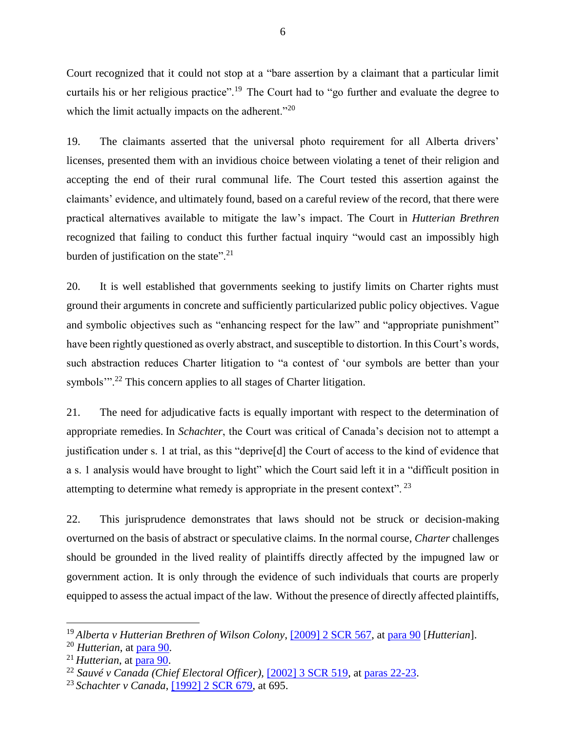Court recognized that it could not stop at a "bare assertion by a claimant that a particular limit curtails his or her religious practice".<sup>19</sup> The Court had to "go further and evaluate the degree to which the limit actually impacts on the adherent."<sup>20</sup>

19. The claimants asserted that the universal photo requirement for all Alberta drivers' licenses, presented them with an invidious choice between violating a tenet of their religion and accepting the end of their rural communal life. The Court tested this assertion against the claimants' evidence, and ultimately found, based on a careful review of the record, that there were practical alternatives available to mitigate the law's impact. The Court in *Hutterian Brethren* recognized that failing to conduct this further factual inquiry "would cast an impossibly high burden of justification on the state".<sup>21</sup>

20. It is well established that governments seeking to justify limits on Charter rights must ground their arguments in concrete and sufficiently particularized public policy objectives. Vague and symbolic objectives such as "enhancing respect for the law" and "appropriate punishment" have been rightly questioned as overly abstract, and susceptible to distortion. In this Court's words, such abstraction reduces Charter litigation to "a contest of 'our symbols are better than your symbols"<sup>22</sup> This concern applies to all stages of Charter litigation.

21. The need for adjudicative facts is equally important with respect to the determination of appropriate remedies. In *Schachter*, the Court was critical of Canada's decision not to attempt a justification under s. 1 at trial, as this "deprive[d] the Court of access to the kind of evidence that a s. 1 analysis would have brought to light" which the Court said left it in a "difficult position in attempting to determine what remedy is appropriate in the present context". <sup>23</sup>

22. This jurisprudence demonstrates that laws should not be struck or decision-making overturned on the basis of abstract or speculative claims. In the normal course, *Charter* challenges should be grounded in the lived reality of plaintiffs directly affected by the impugned law or government action. It is only through the evidence of such individuals that courts are properly equipped to assess the actual impact of the law. Without the presence of directly affected plaintiffs,

<sup>19</sup> *Alberta v Hutterian Brethren of Wilson Colony*, [\[2009\] 2 SCR 567,](https://canlii.ca/t/24rr4) at [para 90](https://canlii.ca/t/24rr4#par90) [*Hutterian*].

<sup>20</sup> *Hutterian*, at [para 90.](https://canlii.ca/t/24rr4#par90)

<sup>21</sup> *Hutterian*, at [para 90.](https://canlii.ca/t/24rr4#par90)

<sup>22</sup> *Sauvé v Canada (Chief Electoral Officer),* [\[2002\] 3 SCR 519,](https://canlii.ca/t/50cw) at [paras 22-23.](https://canlii.ca/t/50cw#par22)

<sup>23</sup> *Schachter v Canada*, [\[1992\] 2 SCR 679,](https://www.canlii.org/en/ca/scc/doc/1992/1992canlii74/1992canlii74.html?autocompleteStr=%5B1992%5D%202%20SCR%20679&autocompletePos=1) at 695.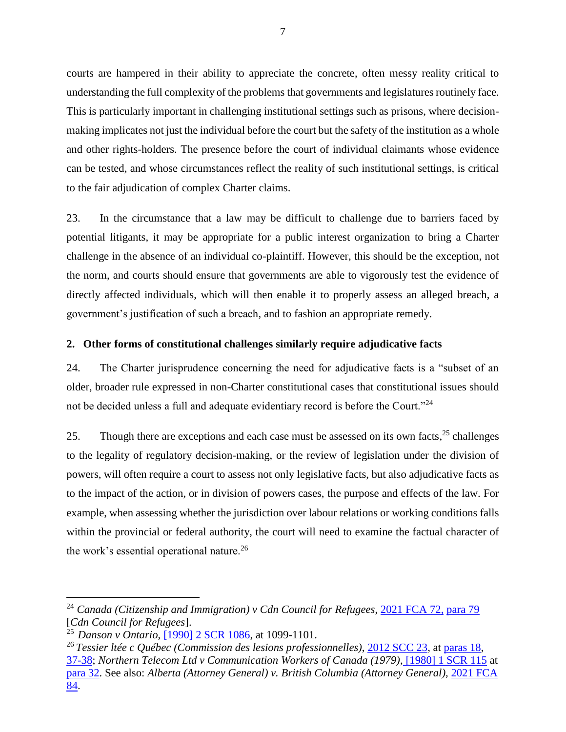courts are hampered in their ability to appreciate the concrete, often messy reality critical to understanding the full complexity of the problems that governments and legislatures routinely face. This is particularly important in challenging institutional settings such as prisons, where decisionmaking implicates not just the individual before the court but the safety of the institution as a whole and other rights-holders. The presence before the court of individual claimants whose evidence can be tested, and whose circumstances reflect the reality of such institutional settings, is critical to the fair adjudication of complex Charter claims.

23. In the circumstance that a law may be difficult to challenge due to barriers faced by potential litigants, it may be appropriate for a public interest organization to bring a Charter challenge in the absence of an individual co-plaintiff. However, this should be the exception, not the norm, and courts should ensure that governments are able to vigorously test the evidence of directly affected individuals, which will then enable it to properly assess an alleged breach, a government's justification of such a breach, and to fashion an appropriate remedy.

## <span id="page-17-0"></span>**2. Other forms of constitutional challenges similarly require adjudicative facts**

24. The Charter jurisprudence concerning the need for adjudicative facts is a "subset of an older, broader rule expressed in non-Charter constitutional cases that constitutional issues should not be decided unless a full and adequate evidentiary record is before the Court."<sup>24</sup>

25. Though there are exceptions and each case must be assessed on its own facts,<sup>25</sup> challenges to the legality of regulatory decision-making, or the review of legislation under the division of powers, will often require a court to assess not only legislative facts, but also adjudicative facts as to the impact of the action, or in division of powers cases, the purpose and effects of the law. For example, when assessing whether the jurisdiction over labour relations or working conditions falls within the provincial or federal authority, the court will need to examine the factual character of the work's essential operational nature.<sup>26</sup>

<sup>24</sup> *Canada (Citizenship and Immigration) v Cdn Council for Refugees*, [2021 FCA 72,](https://www.canlii.org/en/ca/fca/doc/2021/2021fca72/2021fca72.html?autocompleteStr=2021%20FCA%2072%2C%20&autocompletePos=1) [para 79](https://www.canlii.org/en/ca/fca/doc/2021/2021fca72/2021fca72.html?autocompleteStr=2021%20FCA%2072%2C%20&autocompletePos=1#par79) [*Cdn Council for Refugees*].

<sup>25</sup> *Danson v Ontario*, [\[1990\] 2 SCR 1086,](https://www.canlii.org/en/ca/scc/doc/1990/1990canlii93/1990canlii93.html?autocompleteStr=%5B1990%5D%202%20SCR%201086&autocompletePos=1) at 1099-1101.

<sup>26</sup> *Tessier ltée c Québec (Commission des lesions professionnelles)*, [2012 SCC 23,](https://canlii.ca/t/frc5f) at [paras 18,](https://canlii.ca/t/frc5f#par18) [37-38;](https://canlii.ca/t/frc5f#par37) *Northern Telecom Ltd v Communication Workers of Canada (1979)*, [\[1980\] 1 SCR 115](https://canlii.ca/t/1mjtb) at [para 32.](https://canlii.ca/t/1mjtb#par32) See also: *Alberta (Attorney General) v. British Columbia (Attorney General),* [2021 FCA](https://www.canlii.org/en/ca/fca/doc/2021/2021fca84/2021fca84.html?autocompleteStr=2021%20FCA%2084&autocompletePos=1)  [84.](https://www.canlii.org/en/ca/fca/doc/2021/2021fca84/2021fca84.html?autocompleteStr=2021%20FCA%2084&autocompletePos=1)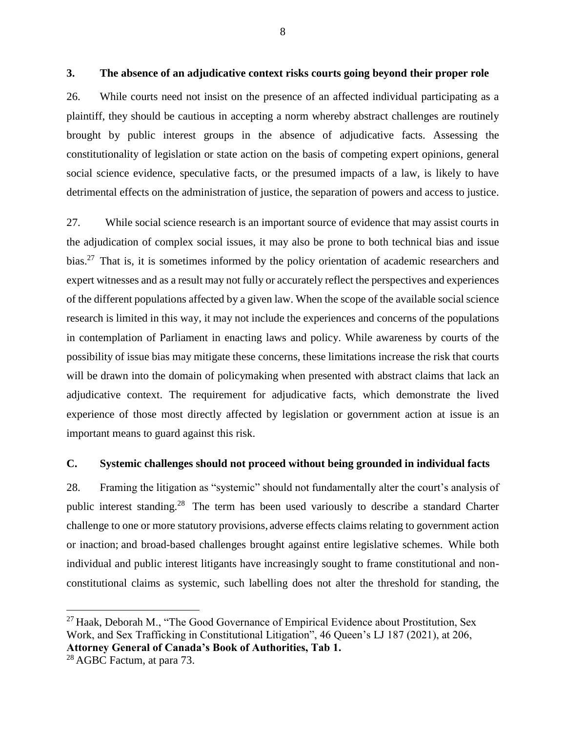#### <span id="page-18-0"></span>**3. The absence of an adjudicative context risks courts going beyond their proper role**

26. While courts need not insist on the presence of an affected individual participating as a plaintiff, they should be cautious in accepting a norm whereby abstract challenges are routinely brought by public interest groups in the absence of adjudicative facts. Assessing the constitutionality of legislation or state action on the basis of competing expert opinions, general social science evidence, speculative facts, or the presumed impacts of a law, is likely to have detrimental effects on the administration of justice, the separation of powers and access to justice.

27. While social science research is an important source of evidence that may assist courts in the adjudication of complex social issues, it may also be prone to both technical bias and issue bias.<sup>27</sup> That is, it is sometimes informed by the policy orientation of academic researchers and expert witnesses and as a result may not fully or accurately reflect the perspectives and experiences of the different populations affected by a given law. When the scope of the available social science research is limited in this way, it may not include the experiences and concerns of the populations in contemplation of Parliament in enacting laws and policy. While awareness by courts of the possibility of issue bias may mitigate these concerns, these limitations increase the risk that courts will be drawn into the domain of policymaking when presented with abstract claims that lack an adjudicative context. The requirement for adjudicative facts, which demonstrate the lived experience of those most directly affected by legislation or government action at issue is an important means to guard against this risk.

### <span id="page-18-1"></span>**C. Systemic challenges should not proceed without being grounded in individual facts**

28. Framing the litigation as "systemic" should not fundamentally alter the court's analysis of public interest standing.<sup>28</sup> The term has been used variously to describe a standard Charter challenge to one or more statutory provisions, adverse effects claims relating to government action or inaction; and broad-based challenges brought against entire legislative schemes. While both individual and public interest litigants have increasingly sought to frame constitutional and nonconstitutional claims as systemic, such labelling does not alter the threshold for standing, the

 $27$  Haak, Deborah M., "The Good Governance of Empirical Evidence about Prostitution, Sex Work, and Sex Trafficking in Constitutional Litigation", 46 Queen's LJ 187 (2021), at 206, **Attorney General of Canada's Book of Authorities, Tab 1.**

<sup>&</sup>lt;sup>28</sup> AGBC Factum, at para 73.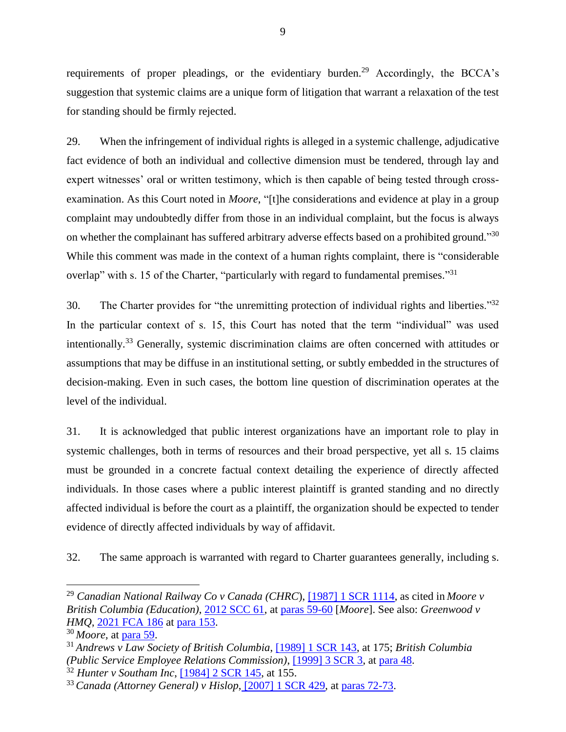requirements of proper pleadings, or the evidentiary burden.<sup>29</sup> Accordingly, the BCCA's suggestion that systemic claims are a unique form of litigation that warrant a relaxation of the test for standing should be firmly rejected.

29. When the infringement of individual rights is alleged in a systemic challenge, adjudicative fact evidence of both an individual and collective dimension must be tendered, through lay and expert witnesses' oral or written testimony, which is then capable of being tested through crossexamination. As this Court noted in *Moore*, "[t]he considerations and evidence at play in a group complaint may undoubtedly differ from those in an individual complaint, but the focus is always on whether the complainant has suffered arbitrary adverse effects based on a prohibited ground."30 While this comment was made in the context of a human rights complaint, there is "considerable overlap" with s. 15 of the Charter, "particularly with regard to fundamental premises."<sup>31</sup>

30. The Charter provides for "the unremitting protection of individual rights and liberties."<sup>32</sup> In the particular context of s. 15, this Court has noted that the term "individual" was used intentionally.<sup>33</sup> Generally, systemic discrimination claims are often concerned with attitudes or assumptions that may be diffuse in an institutional setting, or subtly embedded in the structures of decision-making. Even in such cases, the bottom line question of discrimination operates at the level of the individual.

31. It is acknowledged that public interest organizations have an important role to play in systemic challenges, both in terms of resources and their broad perspective, yet all s. 15 claims must be grounded in a concrete factual context detailing the experience of directly affected individuals. In those cases where a public interest plaintiff is granted standing and no directly affected individual is before the court as a plaintiff, the organization should be expected to tender evidence of directly affected individuals by way of affidavit.

32. The same approach is warranted with regard to Charter guarantees generally, including s.

 $\overline{a}$ 

<sup>32</sup> *Hunter v Southam Inc*, [\[1984\] 2 SCR 145,](https://canlii.ca/t/1mgc1) at 155.

<sup>29</sup> *Canadian National Railway Co v Canada (CHRC*), [\[1987\] 1 SCR 1114,](https://canlii.ca/t/1lpg8) as cited in *Moore v British Columbia (Education)*, [2012 SCC 61,](https://canlii.ca/t/ftp16) at [paras 59-60](https://canlii.ca/t/ftp16#par59) [*Moore*]. See also: *Greenwood v HMQ*, [2021 FCA 186](https://canlii.ca/t/jj64g) at [para 153.](https://canlii.ca/t/jj64g#par153)

<sup>30</sup> *Moore,* at [para 59.](https://canlii.ca/t/ftp16#par59)

<sup>31</sup> *Andrews v Law Society of British Columbia*, [\[1989\] 1 SCR 143,](https://canlii.ca/t/1ft8q) at 175; *British Columbia (Public Service Employee Relations Commission)*, [\[1999\] 3 SCR 3,](https://canlii.ca/t/1fqk1) at [para 48.](https://canlii.ca/t/1fqk1#par48)

<sup>33</sup> *Canada (Attorney General) v Hislop*, [\[2007\] 1 SCR 429,](https://canlii.ca/t/1qp29) at [paras 72-73.](https://canlii.ca/t/1qp29#par72)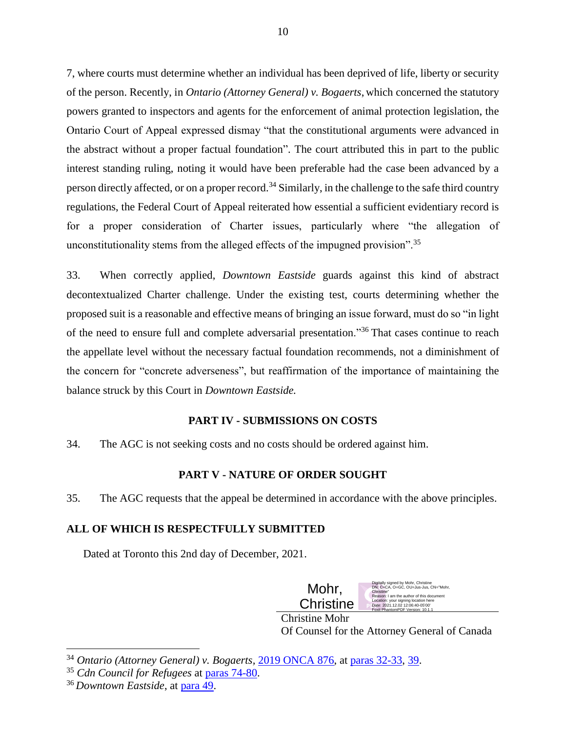7, where courts must determine whether an individual has been deprived of life, liberty or security of the person. Recently, in *Ontario (Attorney General) v. Bogaerts*, which concerned the statutory powers granted to inspectors and agents for the enforcement of animal protection legislation, the Ontario Court of Appeal expressed dismay "that the constitutional arguments were advanced in the abstract without a proper factual foundation". The court attributed this in part to the public interest standing ruling, noting it would have been preferable had the case been advanced by a person directly affected, or on a proper record.<sup>34</sup> Similarly, in the challenge to the safe third country regulations, the Federal Court of Appeal reiterated how essential a sufficient evidentiary record is for a proper consideration of Charter issues, particularly where "the allegation of unconstitutionality stems from the alleged effects of the impugned provision".<sup>35</sup>

33. When correctly applied, *Downtown Eastside* guards against this kind of abstract decontextualized Charter challenge. Under the existing test, courts determining whether the proposed suit is a reasonable and effective means of bringing an issue forward, must do so "in light of the need to ensure full and complete adversarial presentation."<sup>36</sup> That cases continue to reach the appellate level without the necessary factual foundation recommends, not a diminishment of the concern for "concrete adverseness", but reaffirmation of the importance of maintaining the balance struck by this Court in *Downtown Eastside.* 

## **PART IV - SUBMISSIONS ON COSTS**

<span id="page-20-0"></span>34. The AGC is not seeking costs and no costs should be ordered against him.

## **PART V - NATURE OF ORDER SOUGHT**

<span id="page-20-1"></span>35. The AGC requests that the appeal be determined in accordance with the above principles.

## **ALL OF WHICH IS RESPECTFULLY SUBMITTED**

Dated at Toronto this 2nd day of December, 2021.



Christine Mohr Of Counsel for the Attorney General of Canada

<sup>34</sup> *Ontario (Attorney General) v. Bogaerts,* [2019 ONCA 876,](https://canlii.ca/t/j3d8n) at [paras 32-33,](https://canlii.ca/t/j3d8n#par32) [39.](https://canlii.ca/t/j3d8n#par39)

<sup>35</sup> *Cdn Council for Refugees* at [paras 74-80.](https://www.canlii.org/en/ca/fca/doc/2021/2021fca72/2021fca72.html?autocompleteStr=2021%20FCA%2072%2C%20&autocompletePos=1#par74)

<sup>36</sup> *Downtown Eastside*, at [para 49.](https://canlii.ca/t/fss7s#par49)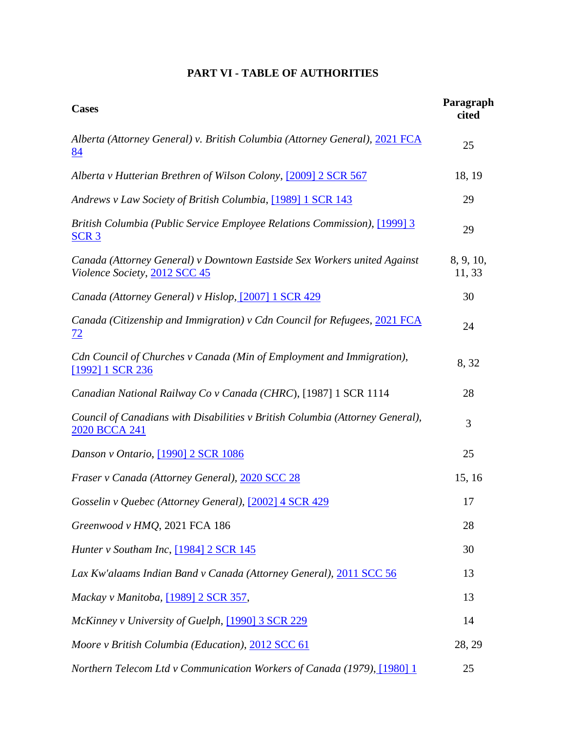# **PART VI - TABLE OF AUTHORITIES**

<span id="page-21-0"></span>

| <b>Cases</b>                                                                                              | Paragraph<br>cited  |
|-----------------------------------------------------------------------------------------------------------|---------------------|
| Alberta (Attorney General) v. British Columbia (Attorney General), 2021 FCA<br>84                         | 25                  |
| Alberta v Hutterian Brethren of Wilson Colony, [2009] 2 SCR 567                                           | 18, 19              |
| Andrews v Law Society of British Columbia, [1989] 1 SCR 143                                               | 29                  |
| <b>British Columbia (Public Service Employee Relations Commission), [1999] 3</b><br><u>SCR 3</u>          | 29                  |
| Canada (Attorney General) v Downtown Eastside Sex Workers united Against<br>Violence Society, 2012 SCC 45 | 8, 9, 10,<br>11, 33 |
| Canada (Attorney General) v Hislop, [2007] 1 SCR 429                                                      | 30                  |
| Canada (Citizenship and Immigration) v Cdn Council for Refugees, 2021 FCA<br><u>72</u>                    | 24                  |
| Cdn Council of Churches v Canada (Min of Employment and Immigration),<br>[1992] 1 SCR 236                 | 8,32                |
| Canadian National Railway Co v Canada (CHRC), [1987] 1 SCR 1114                                           | 28                  |
| Council of Canadians with Disabilities v British Columbia (Attorney General),<br>2020 BCCA 241            | 3                   |
| Danson v Ontario, <a>[1990]</a> 2 SCR 1086                                                                | 25                  |
| Fraser v Canada (Attorney General), 2020 SCC 28                                                           | 15, 16              |
| Gosselin v Quebec (Attorney General), [2002] 4 SCR 429                                                    | 17                  |
| Greenwood v HMQ, 2021 FCA 186                                                                             | 28                  |
| Hunter v Southam Inc, [1984] 2 SCR 145                                                                    | 30                  |
| Lax Kw'alaams Indian Band v Canada (Attorney General), 2011 SCC 56                                        | 13                  |
| Mackay v Manitoba, [1989] 2 SCR 357,                                                                      | 13                  |
| McKinney v University of Guelph, [1990] 3 SCR 229                                                         | 14                  |
| Moore v British Columbia (Education), 2012 SCC 61                                                         | 28, 29              |
| Northern Telecom Ltd v Communication Workers of Canada (1979), [1980] 1                                   | 25                  |